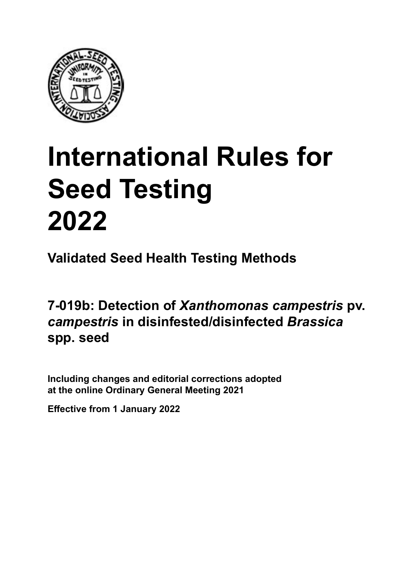

# **International Rules for Seed Testing von Saatgut 2022 2022 Semences 2022 International Rules for<br>Seed Testing<br>2022**<br>Validated Seed Health Testing Methods<br>7-019b: Detection of *Xanthomonas campestris*<br>*campestris* in disinfested/disinfected *Brassica*<br>spp. seed **Seed Testing 2022**

**Métodos Validados para Análisis de Sanidad de Semillas Validate Méthodes Validées pour Analyse Sanitaire des Semences Validated Seed Health Testing Methods**

7-019b: Detection of *Xanthomonas campestris* pv. *campestris* in disinfested/disinfected *Brassica* **de** *Brassica* **spp. Samen von** *Brassica* **spp. spp. seed**

Including changes and editorial corrections adopted at the online Ordinary General Meeting 2021

**Effective from 1 January 2022**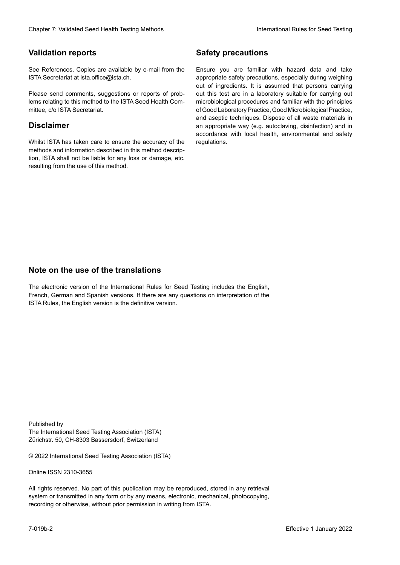# **Validation reports**

See References. Copies are available by e-mail from the<br>ISTA Secretariat at ista.office@ista.ch. ISTA Secretariat at ista.office@ista.ch.

lems relating to this method to the ISTA Seed Health Com-<br>mittee, c/o ISTA Secretariat. mittee, c/o ISTA Secretariat.<br>i Please send comments, suggestions or reports of prob-

# **Limitation de responsabilité Disclaimer**

Whilst ISTA has taken care to ensure the accuracy of the<br>methods and information described in this method description, ISTA shall not be liable for any loss or damage, etc.<br>resulting from the use of this method.<br>. resulting from the use of this method. Whilst ISTA has taken care to ensure the accuracy of the methods and information described in this method descrip-<br>tion, ISTA shall not be liable for any loss or damage, etc. tion, ISTA shall not be liable for any loss or damage, etc.<br>resulting from the use of this method.

# **Medidas de seguridad Sicherheitsmaßnahmen Sécurité Safety precautions**

Ensure you are familiar with hazard data and take Ensure you are familiar with hazard data and take<br>appropriate safety precautions, especially during weighing out of ingredients. It is assumed that persons carrying out this test are in a laboratory suitable for carrying out microbiological procedures and familiar with the principles of Good Laboratory Practice, Good Microbiological Practice, and aseptic techniques. Dispose of all waste materials in an appropriate way (e.g. autoclaving, disinfection) and in accordance with local health, environmental and safety regulations. Glade 7: Validated Deed Health Testing holes by Safety precentions<br>
Validation reports<br>
On Reference, Cusine are analisie by e-rust force in Europe you are "antiler edit based date and since<br>
Since Research at the CN-Searc microbiological procedures and familiar with the principles<br>of Good Laboratory Practice, Good Microbiological Practice,<br>and aseptic techniques. Dispose of all waste materials in<br>an appropriate way (e.g. autoclaving, disinf fallstoffe sind auf geeignete Weise und entsprechend der vor Ort über der vor Ort über und Umwelt- und Umwelt-<br>Eine und Umwelt-Effective Counter of Nicolastic Counter of Nicolastic Counter of Nicolastic Counter of Nicolastic Counter Méthodes validations of the Counter Méthodes validations of the Counter of Nicolastic Counter Méthodes validations o of Good Laboratory Practice, Good Microbiological Practice,<br>and aseptic techniques. Dispose of all waste materials in<br>an appropriate way (e.g. autoclaving, disinfection) and in Validation reports<br>
Since The Texture 1988 and the system of the Since Theorem and the Since Theorem and the system of the Since The Since The Since The Since The Since The Since The Since The Since The Since The Since The Ensure you are familiar with hazard data and take<br>appropriate safety precautions, especially during weighing<br>out of ingredients. It is assumed that persons carrying<br>out this test are in a laboratory suitable for carrying o

# **Nota sobre el uso de traducciones Anmerkung zur Benutzung der Übersetzungen Note on the use of the translations**

The electronic version of the International Rules for Seed Testing includes the English, French, German and Spanish versions. If there are any questions on interpretation of the ISTA Rules, the English version is the definitive version. The electronic version of the International Rules for Seed Testing includes the English,<br>French, German and Spanish versions. If there are any questions on interpretation of the<br>ISTA Rules, the English version is the defin The electronic version of the International Rules for Seed Testing includes the English,<br>French, German and Spanish versions. If there are any questions on interpretation of the

Published by **Extending Association (ISTA)** The International Seed Testing Association (ISTA) Zürichstr. 50, CH-8303 Bassersdorf, Switzerland

© 2022 International Seed Testing Association (ISTA)

Alle Rechte vorbehalten. Kein Teil dieses Werkes darf in irgendwelcher Form oder durch Online ISSN 2310-3655

All rights reserved. No part of this publication may be reproduced, stored in any retrieval All rights reserved. No part of this publication may be reproduced, stored in any retrieval<br>system or transmitted in any form or by any means, electronic, mechanical, photocopying,<br>recording or otherwise, without prior per recording or otherwise, without prior permis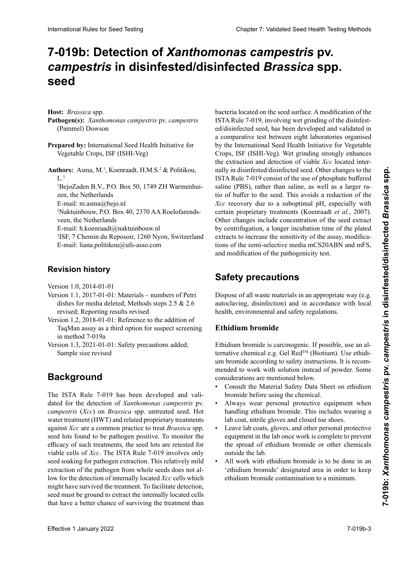# 7-019b: Detection of *Xanthomonas campestris* pv. *campestris* in disinfested/disinfected *Brassica* spp. *Brassica* **spp. désinfestées/désinfectées seed**

Host: *Brassica* spp.

- Pathogen(s): Xanthomonas campestris pv. campestris  $\sum_{k=1}^{\infty}$   $\sum_{k=1}^{\infty}$  **pammel)** Dowson *campestris* (Pammel) Dowson (Pammel) Dowson (Pammel) Dowson
- Prepared by: International Seed Health Initiative for **for Vegetable Crops, ISF (ISHI-Veg) Erstellt durch:** International Seed Health Initiative for Vegetable Crops, ISF (ISHI-Veg) **Preparé par :** International Seed Health Initiative for Vegetable Crops, ISF (ISHI-Veg)
- **Authors:** Asma, M.<sup>1</sup>, Koenraadt, H.M.S.<sup>2</sup> & Politikou,  $L^3$ BejoZaden B.V., P.O. Box 50, 1749 ZH Warmenhui-

e.<br>'BejoZaden B.V., P.O. Box 50, 1749 ZH Warmenhu zen, the iveluerianus<br>E-mail: m.asma@bejo.nl <sup>1</sup>BejoZaden B.V., P.O. Box 50, 1749 ZH Warmenhuizen, the Netherlands

 $\sum_{i=1}^{n}$  Francia du Repositor, 1260  $\sum_{i=1}^{n}$  $E$ -mail: m.asma $\omega$ bejo.m

 $\epsilon$ Nakulinoouw, P.O. Box 40, 2570 AA <sup>2</sup>Naktuinbouw, P.O. Box 40, 2370 AA Roelofarendsveen, the Netherlands

E-mail: h.koenraadt@naktuinbouw.nl

<sup>3</sup>ISF, 7 Chemin du Reposoir, 1260 Ny Suisse <sup>3</sup>ISF, 7 Chemin du Reposoir, 1260 Nyon, Switzerland E-mail: liana.politikou@ufs-asso.com

#### Versión 1.1, 2017-01-01: Materiales – los números de calis de Petri con medio de cultivo se eliminaron; se eliminaron; se eliminaron; se eliminar se eliminar se el **Revisionsstand Historique de la révision Revision history**

Version  $1.0, 2014-01-01$ 

- Version 1.1, 2017-01-01: Materials numbers of Petri<br>dishes for media deleted; Methods steps 2.5 & 2.6 dishes for media deleted; Methods steps 2.5 & 2.6 revised; Reporting results revised
- Version 1.2, 2018-01-01: Reference to the addition of TaqMan assay as a third option for suspect screening in method 7-019a
- Sample size revised Version 1.3, 2021-01-01: Safety precautions added;

#### la detección de *Xanthomonas campestris* pv. *campestris* **Hintergrund Background** (*Xcc*) en semilla no tratada de *Brassica* spp. El tratamien-La règle ISTA 7-019 a été développée et validée pour la

The ISTA Rule 7-019 has been developed and validated for the detection of Xanthomonas campestris pv. campestris (Xcc) on Brassica spp. untreated seed. Hot water treatment (HWT) and related proprietary treatments water tratament  $(11 \times 1)$  and related proprietary treatments against Xcc are a common practice to treat Brassica spp.  $\infty$   $\infty$   $\infty$   $\infty$   $\infty$   $\infty$   $\infty$   $\infty$   $\infty$   $\infty$   $\infty$   $\infty$   $\infty$   $\infty$   $\infty$   $\infty$   $\infty$   $\infty$   $\infty$   $\infty$   $\infty$   $\infty$   $\infty$   $\infty$   $\infty$   $\infty$   $\infty$   $\infty$   $\infty$   $\infty$   $\infty$   $\infty$   $\infty$   $\infty$   $\infty$   $\infty$   $\infty$  $\frac{1}{2}$ la extractivamente, de seculois ale fedested for viable cells of *Xcc*. The ISTA Rule 7-019 involves only seed soaking for pathogen extraction. This relatively mild seed soaking for pathogen extraction. This relatively filled<br>extraction of the pathogen from whole seeds does not allow for the detection of internally located *Xcc* cells which might have survived the treatment. To facilitate detection, seed must be ground to extract the internally located cells that have a better chance of surviving the treatment than see tots found to be pathogen positive. For moment the  $\frac{1}{2}$  $\frac{1}{2}$ urteilung der Effektivität solcher Behandlungen werden werden werden werden werden werden werden werden werden werden werden werden werden werden werden werden werden werden werden werden werden werden werden wer secu lots found to be painted positive. To moment the efficacy of such treatments, the seed lots are retested for seed lots found to be pathogen positive. To monitor the

bacteria located on the seed surface. A modification of the ISTA Rule 7-019, involving wet grinding of the disinfested/disinfected seed, has been developed and validated in a comparative test between eight laboratories organised by the International Seed Health Initiative for Vegetable<br>Crops, JSE (JSHJ Veg), Wet grinding strongly enhances eg in molinational seculation medalter les regenere the extraction and detection of viable Xcc located internally in disinfested/disinfected seed. Other changes to the ISTA Rule 7-019 consist of the use of phosphate buffered  $\frac{151A \text{ Kult}}{PBC}$  solution than  $\frac{1}{2}$  in  $\frac{1}{2}$  in  $\frac{1}{2}$  in  $\frac{1}{2}$  in  $\frac{1}{2}$  in  $\frac{1}{2}$  in  $\frac{1}{2}$  in  $\frac{1}{2}$ saline (PBS), rather than saline, as well as a larger rational of the saline (PBS), rather than saline, as well as a larger rational  $\frac{1}{2}$  de tampon a la semilla. Esto evita una reducción en la semilla. Esto estos en la reducción en la reducción en la reducción en la reducción en la reducción en la reducción en la reducción en la reducción en la re Acc recovery due to a suboptimal pH, especially with certain proprietary treatments (Koenraadt *et al.*, 2007). Other changes include concentration of the seed extract by centrifugation, a longer incubation time of the plated extracts to increase the sensitivity of the assay, modificaextracts to increase the sensitivity of the assay, modifica-<br>tions of the semi-selective media mCS20ABN and mFS, and modification of the pathogenicity test. **Plannets** Constrained Sect Historics Constrained in the 100 Sin New Society Constrained Sect Historics Constrained Sect Historics and the summative state to the constrained Sect Historics (Cops. ISF (ISHI-Ve) Uncertainty  $\frac{1}{2}$  handelten in Same seculture sind. And the single single single single single single single single single single single single single single single single single single single single single single single single s Acc recovery due to a suboptimal pri, especially with **Plannetoj X** Zivičkom prestrio pri NENA FANI Strane Planneton (Section de La Constitute and the Strane of the decision of the Copy (Section 2) Intermed by Intermediate Scopi SF (SHE) Copy SF (SHE) Copy SF (SHE) Copy SF ( utilis of buffer to the seed. This avoids a reduction of the *Xcc* recovery due to a suboptimal pH, especially with Acc recovery due to a suboptimal pri, especially with<br>certain proprietary treatments (Koenraadt *et al.*, 2007).<br>Other changes include concentration of the seed extract by centrifugation, a longer incubation time of the plated<br>extracts to increase the sensitivity of the assay, modifica-<br>tions of the semi-selective media mCS20ABN and mFS, **International Rules for Seed Testing Control Control Control Control Control Control Control Control Control Control Control Control Control Control Control Control Control Control Control Control Control Control Control** tio of buffer to the seed. This avoids a reduction of the extracts to increase the sensitivity of the assay, modifica-

#### eine längere Inkubationszeit der plattierten Extrakte zur Safety precautions léctifs ma $\mathbf{S}$

**Medidas de seguridad** autoclaving, disinfection) and in accordance with local health, environmental and safety regulations. Dispose of all waste materials in an appropriate way (e.g. **Sicherheitsmaßnahmen**

# **Ethidium bromide** autoclavage, des selons of selon des selons and selon design of the selon design of the selon design of the selon design of the selon design of the selon design of the selon design of the selon design of

Ethidium bromide is carcinogenic. If possible, use an alum bromide according to safety instructions. It is recommended to work with solution instead of powder. Some mention de mentione de acuerdo a las instrucciones de acuerdos est.<br> **Ethiopia** ternative chemical e.g. Gel Red<sup>TM</sup> (Biotium). Use ethidi-

- Consult the Material Safety Data Sheet on ethidium<br>hromide before using the chemical bromide before using the chemical. bromide before using the chemical.<br>• Always wear personal protective equipment when
- handling ethidium bromide. This includes wearing a handing candidate of reaction and metallicity.
- rao coal, mane gioves ana ciosea loe siloes.  $\frac{1}{2}$  next the coals, gloves, and other personal protective equipment in the lab once work is complete el guardapolita en guardano de pro $t$ ección personal en el laboratorio una vez que el trabasure coul, mine gives and closed toe shoes.  $\frac{1}{2}$  Ecave lab coats, gives, and our equipment in the fab once work is complete to prevent bromid bevor die Chemikalie verwendet wird. Die verwendet wird wird wird wird. Die verwendet wird wird wird wird  $\frac{1}{2}$  outside the factor of  $\frac{1}{2}$  and  $\frac{1}{2}$  and  $\frac{1}{2}$  and  $\frac{1}{2}$  and  $\frac{1}{2}$  and  $\frac{1}{2}$  and  $\frac{1}{2}$  and  $\frac{1}{2}$  and  $\frac{1}{2}$  and  $\frac{1}{2}$  and  $\frac{1}{2}$  and  $\frac{1}{2}$  and  $\frac{1}{2}$  and  $\frac{1}{2$ rao coai, mine gioves and crosed toe shoes. • Leave lab coats, gloves, and other personal protective Portent de la completa toujours un été de protection de protection de protection de protection de protection in<br>Contradiction in description de protection de protection de protection de la contradiction de la contradiction the spread of ethidium bromide or other chemicals cela inclusion le port de la boratoire, de la boratoire, de gants de gants de gants de la boratoire, de gants de gants de gants de gants de gants de gants de gants de gants de gants de gants de gants de gants de gants de g equipment in the lab once work is complete to prevent outside the lab.
- All work with ethiquent bromide is to be done in an 'ethidium bromide' designated area in order to keep ethidium bromide designated area in order to keep<br>ethidium bromide contamination to a minimum.  $\frac{1}{2}$  and  $\frac{1}{2}$  and  $\frac{1}{2}$  and  $\frac{1}{2}$  and  $\frac{1}{2}$  and  $\frac{1}{2}$  and  $\frac{1}{2}$  and  $\frac{1}{2}$  and  $\frac{1}{2}$  and  $\frac{1}{2}$  and  $\frac{1}{2}$  and  $\frac{1}{2}$  and  $\frac{1}{2}$  and  $\frac{1}{2}$  and  $\frac{1}{2}$  and  $\frac{1}{2}$  a • All work with ethidium bromide is to be done in an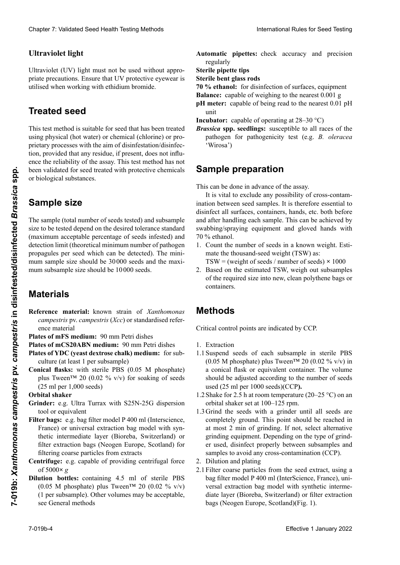# **Ultraviolet light and Ethiopia**

Ultraviolet (UV) light must not be used without appropriate precautions. Ensure that UV protective eyewear is utilised when working with ethidium bromide. **Lumière ultraviolette** 

# **Semilla tratada Ultraviolettes Licht** La lumière ultraviolette ne doit pas être utilisée sans pré-**Treated seed**

This test method is suitable for seed that has been treated<br>using physical (bot water) or chemical (chlorine) or prousing physical (hot water) or chemical (chlorine) or prozustellen, das almost processes with the aim of disinfestation/disinfecpre cualquier residuo, siempre cualquier residuo de cualquier residuo, provided that any residuo, if present, does not inflution, provided that any residue, if present, does not influ-<br>ence the reliability of the assay. This test method has not ence the rendomly or the assay. This test method has not been validated for seed treated with protective chemicals<br>or biological substances biológicas. Cette méthode de test est adaptée aux graines traitées de manière physique (eau chaude), chimique (chlore) ou par or biological substances. Clearly 2. Validated Specific ab 1. Secondari Refer denta international clear ab 1. Secondari Refer denta international clear about 1. Secondari Refer denta international clear about 1. Secondari Clear about 1. Secondari Chaos 7 Voldskies Seat Health Foring Models<br>
Litteration European Scale Health Foring Models<br>
Litteration European Scale Health Foring Theodores and Theodores and Theodores and Theodores and Theodores Contact Seat The for **EVALUATE THE SUISSE CONSULTERED EXTRA AND ANOTHIES (SUISSE) points and the superior of the substitution (Neogen Europe) outside the sum of the sum of the sum of the sum of the sum of the sum of the sum of the sum of the** 

#### **Sample size** sikalischen (Heißwasser) oder chemischen (Chlor) oder **Sample size**

The sample (total number of seeds tested) and subsample size to be tested depend on the desired tolerance standard (maximum acceptable percentage of seeds infested) and detection limit (theoretical minimum number of pathogen (maximum acceptable percentage of seeds intested) and<br>detection limit (theoretical minimum number of pathogen<br>propagules per seed which can be detected). The minimum sample size should be 30 000 seeds and the maximum subsample size should be 10000 seeds.<br> rung/Hygienisierung behandelt wurden, geeignet, unter The sample (total number of seeds tested) and subsample Example the this beat work and the proposition chemicals **Sample preparation**<br>  $\frac{1}{2}$  be two below informed to react the control of the state  $\frac{1}{2}$  control and the state  $\frac{1}{2}$  control and the state  $\frac{1}{2}$  co

## **Materials** acceptable de semences infestées) et de la limite de détec-

- *campestris* pv. *campestris* (*Xcc*) or standardised reference material **campes in the campion of the reference material development of the reference material development of the reference of the reference of the reference of the reference of the reference of the reference of the reference of t** Reference material: known strain of *Xanthomonas*
- Plates of mFS medium: 90 mm Petri dishes
- Plates of mCS20ABN medium: 90 mm Petri dishes
- **Plates of YDC (yeast dextrose chalk) medium:** for subculture (at least 1 per subsample)
- **Conical flasks:** with sterile PBS (0.05 M phosphate) **Parameter concernants.** While strike 1 BB (0.05 M phosphate) plus Tween<sup>TM</sup> 20 (0.02 % v/v) for soaking of seeds  $(25 \text{ ml per } 1,000 \text{ seeds})$ **References** of the state of  $\overline{S}$  **s** both defined  $\overline{S}$  **:** both defined  $\overline{S}$  **:** both defined  $\overline{S}$  **:** both defined  $\overline{S}$  **:** both defined  $\overline{S}$  **:** both defined  $\overline{S}$  **:** both defined  $\overline{S}$  **:**

- **Crindor** og Il Molitics: por estate Turrax con her experience tool or equivalent<br>Filter bags: e.g. bag filter model P 400 ml (Interscience, **Grinder:** e.g. Ultra Turrax with S25N-25G dispersion mater: e.g. examined:
- **Bolsas con filtro:** por estable model in the model with the France. France) or universal extraction bag model with synthetic intermediate layer (Bioreba, Switzerland) or filter extraction bags (Neogen Europe, Scotland) for  $\frac{1}{2}$  europa, Europa, Europa, Europa, Europa, Europa, Europa, Europa, Europa, Europa, Europa, Europa, Europa, Europa, Europa, Europa, Europa, Europa, Europa, Europa, Europa, Europa, Europa, Europa, Europa, Europa, Eur **Agitateur orbital** filtering coarse particles from extracts
- mering coarse particles from extracts<br>**Centrifuge:** e.g. capable of providing centrifugal force **Centrífuga:** por ejemplo, capaz de proporcionar fuerza of  $5000 \times g$ **Sac à filtre :** p. ex. Bag Filter modèle P 400 ml (Inter-
- **Dilution bottles:** conta  $(0.05 \text{ M} \text{ phosphate})$  plus Tween™ 20  $(0.02 \% \text{ v/v})$ (1 per subsample). Other volumes may be acceptable, **Dilution bottles:** containing 4.5 ml of sterile PBS see General methods
- Automatic pipettes: check accuracy and precision regularly tegularly oder universelles Extraerales Extraerales Extraerales Extraerales Extraerales Extraerales Extraerales
- **Sterile pipette tips** Sterile pipette tips<br>Sterile bent glass rods
- 
- 70 % ethanol: for disinfection of surfaces, equipment<br>Balance: capable of weighing to the nearest  $0.001 \text{ g}$
- **Balance:** capable of weighing to the nearest 0.001 g
- pH meter: capable of being read to the nearest 0.01 pH unit
- **Incubator:** capable of operating at  $28-30$  °C)<br>*Brassica* spn. seedlings: susceptible to all races of the
- **Brassica spp. seedlings:** susceptible to all races of the pathogen for pathogenicity test (e.g. *B. oleracea* de 0,01 unidades de pH meine Methoden **Tiges de verre coudées stériles** 'Wirosa') **Included** a 28–30  $\frac{1}{2}$ **Automatische Pipetten:** Genauigkeit und Präzision sind **Ethanol à 70% :** pour la désinfection des surfaces et du matériel

#### del patógeno para el análisis de para el análisis de para el análisis de para el análisis de para el análisis ejemplo, *B. oleracea* 'Wirosa') Sample prepar **Sterile Drigalskispatel Bample preparation**  $\mathbf S$ ample preparation

**70 % Ethanol:** Zur Desinfektion von Oberflächen und  $\frac{1}{2}$  Call be done in This can be done in advance of the assay.

It is vital to exclude any possibility of disiniect all surfaces, containers, hands, etc.  $\epsilon$ and after handling each sample. This can be achieved by swabbing/spraying equipment and gloved hands with  $70\%$  ethanol. It is vital to exclude any possibility of cross-contain-<br>ination between seed samples. It is therefore essential to **p**H Meter: Meter seed samples. It is therefore essential **Increase between** being being being being being being being being being being being being beings and the contract of the contract of the contract of the contract of the contract of the contract of the contract of the cont and arter handling each sample. This can be achieved by<br>swabbing/spraying equipment and gloved hands with<br>70 % ethanol. It is vital to exclude any possibility of cross-contammation between seed samples. It is therefore essential to<br>disinfect all surfaces, containers, hands, etc. both before swabbing/spraying equipment and gloved hands with

1. Count the number of seeds in a known weight. Estimate the thousand-seed weight (TSW) as:

 $TSW = (weight of seeds / number of seeds) \times 1000$ 

2. Based on the estimated TSW, weigh out subsamples of the required size into new, clean polythene bags or containers.

# **Methods.** Some alle Oberflächen, Behälter, Hände alle Oberflächen, Behälter, Hände als Deutschen, Hände als Deutschen, Behälter, Hände alle Oberflächen, Behälter, Hände alle Oberflächen, Behälter, Hände als Deutschen, Beh

**Methods**<br>Critical control points are indicated by CCP.

- 1. Extraction
- 1.1 Suspend seeds of each subsample in sterile PBS a conical flask or equivalent container. The volume should be adjusted according to the number of seeds used (25 ml per 1000 seeds)(CCP). (0.05 M phosphate) plus Tween<sup>TM</sup> 20 (0.02 % v/v) in
- 1.2 Shake for 2.5 h at room temperature (20–25 °C) on an exhital shaker get at 100–125 km debería ajustarse de acuerdo al número de semillas usa-orbital shaker set at 100–125 rpm.
- 1.3 Grind the seeds with a grinder until all seeds are 1.3 Stind and seeds what a grinder diffit an seeds are<br>completely ground. This point should be reached in completely ground. I his point should be reached in<br>at most 2 min of grinding. If not, select alternative at most 2 mm of grinding. It not, select attentative grinding equipment. Depending on the type of grinder used, disinfect properly between subsamples and er used, disinfect properly between subsamples and ci uscu, uisiniect property between subsamples and er used, distincted property between subsamples and<br>samples to avoid any cross-contamination (CCP).
- 2. Dilution and plating
- nativo de molinia de molinia de molinia de molinia de molinia de molinia de molinia de molinia de molinia de m<br>Diffusion de molinia de molinia de molinia de molinia de molinia de molinia de molinia de molinia de molinia d Filter coarse particles from the seed extract, using a bag filter model P 400 ml (InterScience, France), universal extraction bag model with synthetic intermediate layer (Bioreba, Switzerland) or filter extraction diate layer (Bioreba, Switzerland) or filter extraction<br>bags (Neogen Europe, Scotland)(Fig. 1).  $\mu$ . Differential der Samen in steriler PBS ( $\mu$ ,  $\mu$ ) and  $\mu$ 2.1 Filter coarse particles from the seed extract, using a<br>2.1 Filter coarse particles from the seed extract, using a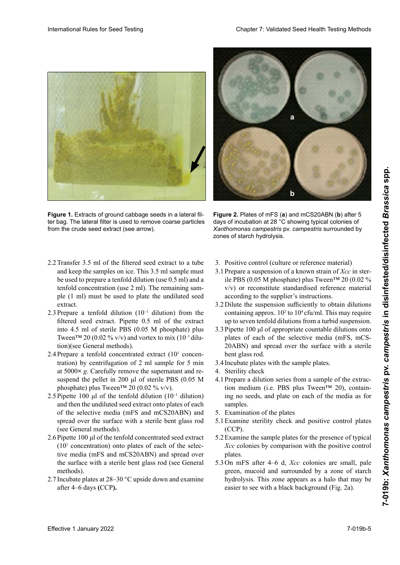

**Figure 1.** Extracts of ground cabbage seeds in a lateral filter bag. The lateral filter is used to remove coarse particles from the crude seed extract (see arrow).



**Figure 2.** Plates of mFS (**a**) and mCS20ABN (**b**) after 5 days of incubation at 28 °C showing typical colonies of Xanthomonas campestris pv. campestris surrounded by zones of starch hydrolysis.

- 2.2 Transfer 3.5 ml of the filtered seed extract to a tube Transfer 3.5 ml of the filtered seed extract to a tube<br>and keep the samples on ice. This 3.5 ml sample must be used to prepare a tenfold dilution (use 0.5 ml) and a<br>tenfold concentration (use 2 ml). The remaining samtenfold concentration (use 2 ml). The remaining sam-<br>ple (1 ml) must be used to plate the undiluted seed ple (1 ml) must be used to plate the undiluted seed<br>extract.<br>2.3 Prepare a tenfold dilution  $(10^{-1}$  dilution) from the extract.
- 2.3 Prepare a tenfold dilution  $(10^{-1}$  dilution) from the filtered seed extract. Pipette 0.5 ml of the extract<br>into 4.5 ml of sterile PBS (0.05 M phosphate) plus<br>Tween<sup>TM</sup> 20 (0.02 % y/y) and vortex to mix (10<sup>-1</sup> diluinto 4.5 ml of sterile PBS (0.05 M phosphate) plus<br>Tween<sup>TM</sup> 20 (0.02 % y/y) and vortex to mix (10<sup>-1</sup> dilu-Tween™ 20 (0.02 % v/v) and vortex to mix (10<sup>-1</sup> dilution)(see General methods).
- 2.4 Prepare a tenfold concentrated extract  $(10^1 \text{ concern-}$ tration) by centrifugation of 2 ml sample for 5 min<br>at 5000 $\times$  c Carafully remove the supernatent and reat 5000× *g*. Carefully remove the supernatant and re- $\alpha$  5000 $\alpha$  g. Carefully femove the phosphate) plus Tween<sup>TM</sup> 20 (0.02 % v/v). de suspend the pellet in 200 μl of sterile PBS (0.05 M<br>suspend the pellet in 200 μl of sterile PBS (0.05 M
- $\frac{1}{20}$  (0.02 % W).<br>Director 100 ed efekto tenfe 11 director (10-1 director) tra de 2 minutos a 500 × *a 5000*<br>*se dela se de 2 minutos de 2 de xeminado en la sede a 5000* and then the undiluted seed extract onto plates of each of the selective media (mFS and mCS20ABN) and  $\overline{a}$ spread over the surface with a sterile bent glass rod (see General methods). phosphate) plus Tween  $20^{60}$ .  $2.3$  Epence Foo  $\mu$  of the temperature (Formation)  $2.5$  Pipette 100 μl of the tenfold dilution (10<sup>-1</sup> dilution) (see General methods).
- (see General methods).<br>2.6 Pipette 100  $\mu$ l of the tenfold concentrated seed extract  $(10<sup>1</sup>$  concentration) onto plates of each of the selective media (mFS and mCS20ABN) and spread over the surtace with a sterile bent glass rod (see General methods). tive media (mFS and mCS20ABN) and spread over<br>the surface with a sterile bent glass rod (see General<br>methods).<br>Incubate plates at 28–30 °C upside down and examine<br>after 4–6 days (CCP). the surface with a sterile bent glass rod (see General
- Incubate plates at  $28-30$  °C upside down and examine after 4–6 days **(CCP).** methods).<br>Incubate plates at 28–30 °C upside down and examine<br>after 4–6 days (CCP). 2.7 Incubate plates at 28–30 °C upside down and examine
- 3. Positive control (culture or reference material)
- 3. Positive control (culture or reference material)<br>3.1 Prepare a suspension of a known strain of  $Xcc$  in sterile PBS (0.05 M phosphate) plus Tween™ 20 (0.02 % v/v) or reconstitute standardised reference material<br>according to the supplier's instructions.<br>3.2 Dilute the suspension sufficiently to obtain dilutions according to the supplier's instructions. according to the supplier's instructions.<br>3.2 Dilute the suspension sufficiently to obtain dilutions Positive control (culture or reference material)<br>Prepare a suspension of a known strain of *Xcc* in ster-<br>ile PBS (0.05 M phosphate) plus Tween<sup>TM</sup> 20 (0.02 % 3.1 Prepare a suspension of a known strain of *Xcc* in ster-
- containing approx.  $10^2$  to  $10^4$  cfu/ml. This may require<br>un to seven tenfold dilutions from a turbid suspension up to seven tenfold dilutions from a turbid suspension.
- 3.3 Pipette 100  $\mu$ l of appropriate countable dilutions onto<br>plates of each of the selective media (mFS mCSplates of each of the selective media (mFS, mCS- $\overrightarrow{?000}$  RN) and spread over the surface with a sterile riadas de 1:10 a partir de una suspensión turbia. 2.6 100 µl der 10-fach-Konzentration (101 3.1 Préparer une suspension d'une souche connue de *Xcc* bent glass rod. 20ABN) and spread over the surface with a sterile
- 3.4 Incubate plates with the sample plates.
- 20 CO-modelle pilots (mit die sample pilots).<br>20 Merility check
- 4.1 Prepare a dilution series from a sample of the extrac- $\frac{1}{2}$  a different method is sufficient to the state tion medium (i.e. PBS plus Tween<sup>TM</sup> 20), contain- $\frac{3.4}{20}$  $\frac{4}{1}$  and  $\frac{4}{1}$ sampres.<br>5. Examination of the plates  $\frac{20}{3}$  Platten  $\frac{20}{3}$  $\frac{1}{4}$  and  $\frac{1}{4}$  and  $\frac{1}{4}$  and  $\frac{1}{4}$  $\frac{1}{20}$  contents control  $\frac{1}{20}$  and  $\frac{1}{20}$  contents control  $\frac{1}{20}$  contents control  $\frac{1}{20}$  contents control  $\frac{1}{20}$  contents control  $\frac{1}{20}$  control  $\frac{1}{20}$  control  $\frac{1}{20}$  control  $\frac{1}{20}$ ing no seeds, and plate on each of the media as for samples.
- $t$ ra del medio de extracción (ej.: PBS con Tween $\mathbb{R}$
- Examine stemily check and positive control plates  $\overline{\text{cusp}}$ . 3.1 Examination of the piates<br>5.1 Examine sterility check and positive control plates (CCP). 5.1 Examine sterility check and positive control plates (CCP). (CCP).
- 5.2 Examine the sample plates for the presence of typical *Xcc* colonies by comparison with the positive control plates.
- 5.3 On mFS after 4–6 d, *Xcc* colonies are small, pale On mFS after 4–6 d, *Xcc* colonies are small, pale green, mucoid and surrounded by a zone of starch hydrolysis. This zone appears as a halo that may be easier to see with a black background (Fig. 2a). green, mucoid and surrounded by a zone of starch<br>hydrolysis. This zone appears as a halo that may be<br>easier to see with a black background (Fig. 2a). hydrolysis. This zone appears as a halo that may be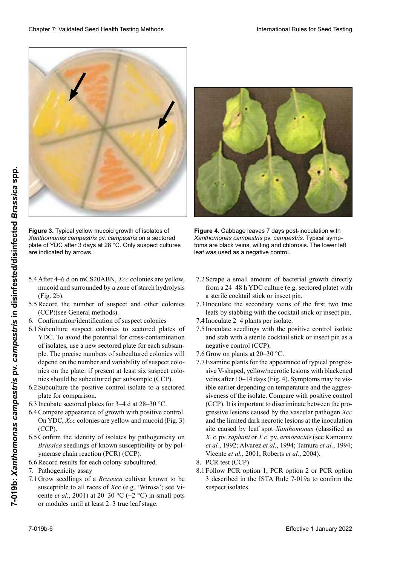

**Figure 3.** Typical yellow mucoid growth of isolates of *Xanthomonas campestris* pv. *campestris* on a sectored plate of YDC after 3 days at 28 °C. Only suspect cultures are indicated by arrows.

- 5.4 After 4–6 d on mCS20ABN, *Xcc* colonies are yellow,<br>mucoid and surrounded by a zone of starch hydrolysis 5.4 After 4–6 d on mCS20ABN, *Xcc* colonies are yellow, mucoid and surrounded by a zone of starch hydrolysis  $(Fig. 2b)$ . (Fig. 2b).<br>5.5 Record the number of suspect and other colonies
- 5.5 Record the number of suspect and other colonies (CCP)(see General methods), (CCP)(see General methods).
- 6. Confirmation/identification of suspect colonies<br>6.1 Subculture suspect colonies to sectored plates of
- 6.1 Subculture suspect colonies to sectored plates of YDC. To avoid the potential for cross-contamination of isolates, use a new sectored plate for each subsample. The precise numbers of subcultured colonies will<br>depend on the number and variability of suspect colodepend on the number and variability of suspect colo-<br>nies on the plate: if present at least six suspect colonies on the plate: if present at least six suspect colonies should be subcultured per subsample (CCP).
- $m$ ve shown er sweemwere per swesmiple  $(\epsilon \epsilon)$ . placement in positive control home to a sectored 5.3 Nach 4–6 Tagen erscheinen auf medicinen auf medicine<br>news should be subcultured per subsample (CCP).<br>factor comparison. drolyse de amidon (Fig. 2001)<br>Sydentity de americans  $6.2$  Subculture the positive control isolate to a sectored  $\frac{1}{2}$ plate for comparison.
- piace for comparison.<br>In colonia experimental distance (PCC). prace for comparison.<br>In relate notional alater for 2, 4, 4, 4, 20, 20. 6.3 Incubate sectored plates for  $3-4$  d at  $28-30$  °C.
- 6.5 Include sectored places for  $3-4$  and  $28-30$  °C.<br>6.4 Compare appearance of growth with positive control.  $\frac{1}{2}$  compare appearance of growth with  $\frac{1}{2}$  $6.3$  In TDC, Acc colonies are yellow and indicula (Fig. 3)  $(\text{CCP}).$  $U = \int_0^{\pi} 1 \cos(2\theta) \cos(2\theta) \sin(2\theta) \sin(2\theta)$ 5.5 Compare appearance of growth with positive control. OIFTDC, ACC COLOILIES ALE YEITOW AND MUCORE (FIG  $\begin{bmatrix} CCF \end{bmatrix}$ . o. Compare appearance or grown with positive control.<br>On YDC, Xcc colonies are yellow and mucoid (Fig. 3)<br>(CCP).
- $\frac{6.5 \text{ }\text{Comirtn}}{4.4 \text{ }\text{cm}}$  and  $\frac{6.5 \text{ }\text{Comirtn}}{4.4 \text{ }\text{cm}}$ *Brassica* seedings of known susceptibility or by poiymerase chain reaction (PCR) (CCP). 6.5 Confirm the identity of isolates by pathogenicity on Commit the identity of isolates by pathogenicity on<br>*Brassica* seedlings of known susceptibility or by pol-<br>ymerase chain reaction (PCR) (CCP).<br>Record results for each colony subcultured.<br>Pathogenicity assay *Brassica* seedlings of known susceptibility or by pol-
- 6.6 Record results for each colony subcultured.<br>7. Pathogenicity assay
- 7. Pathogenicity assay
- 7.1 Grow seedlings of a *Brassica* cultivar known to be susceptible to all races of *Xcc* (e.g. 'Wirosa'; see Vicente *et al.*, 2001) at 20–30 °C ( $\pm$ 2 °C) in small pots or modules until at least 2-3 true leaf stage.



**Figure 4.** Cabbage leaves 7 days post-inoculation with *Xanthomonas campestris* pv. *campestris*. Typical symptoms are black veins, wilting and chlorosis. The lower left leaf was used as a negative control.

- 7.2 Scrape a small amount of bacterial growth directly from a 24–48 h YDC culture (e.g. sectored plate) with<br>a sterile cocktail stick or insect pin. a sterile cocktail stick or insect pin.
- 7.3 Inoculate the secondary veins of the first two true leafs by stabbing with the cocktail stick or insect pin.
- 7.4 Inoculate 2–4 plants per isolate.
- 7.4 Inoculate 2–4 plants per isolate.<br>7.5 Inoculate seedlings with the positive control isolate and stab with a sterile cocktail stick or insect pin as a negative control (CCP).<br>7. G Grow on plants at 20–30 °C
- 7.6 Grow on plants at  $20-30$  °C.
- 7.7 Examine plants for the appearance of typical progres-<br>sive V-shaped vellow/pecrotic lesions with blackened sive V-shaped, yellow/necrotic lesions with blackened veins after 10–14 days (Fig. 4). Symptoms may be visible earlier depending on temperature and the aggressiveness of the isolate. Compare with positive control  $(CCP)$ . It is important to discriminate between the prode contract of allier pro-<br>gressive lesions caused by the vascular pathogen *Xcc* gressive resions caused by the vascular pathogen Acc<br>and the limited dark necrotic lesions at the inoculation  $\frac{7}{100}$  and the finite data nection resions at the inoculation site caused by fear spot *Auninomonus* (classified as *X. c.* pv. *raphani* or *X.c.* pv. *armoraciae* (see Kamounv *et al.*, 1992; Alvarez *et al.*, 1994; Tamura *et al.*, 1994; Vicente *et al.*, 2001; Roberts *et al.*, 2004).<br>PCR test (CCP) and the immediate necessities at the inoculation del in die Bakterien von die Bakterien von die Bakterien zu der 24–48 het volleden zu die 24–48 hat die volleden volleden zu die volleden volleden volleden volleden volleden volleden volleden volleden volleden volleden vol and the finitied data hectoric resions at the inoculation site caused by leaf spot *Xanthomonas* (classified as **Figure 3.** Flypical pelotion of isolates of<br>**Example 2. Flupical** state and the calculation of the section of the section of the section of the section of the section of the section of the section of the section of the **Effective 1 January 2022**<br> **Effective 1 January 2022**<br> **Effective 1 January 2022**<br> **Effective 1 January 2022**<br> **Examplementary and 28 January 2022**<br> **Examplementary and 28 January 2022**<br> **Examplementary and 28 January 20** 
	- 8. PCR test (CCP)
	- 8.1 Follow PCR option 1, PCR option 2 or PCR option 3 described in the ISTA Rule 7-019a to confirm the suspect isolates.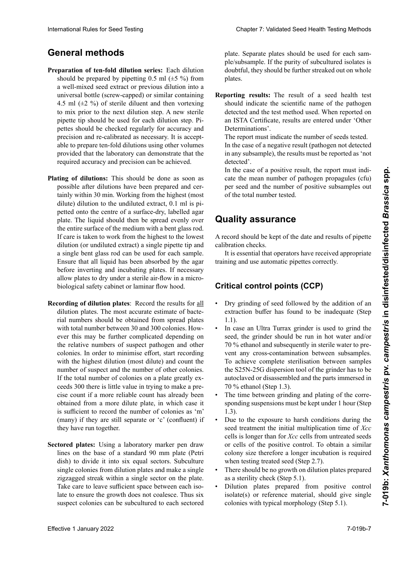# **General methods**

- Preparation of ten-fold dilution series: Each dilution should be prepared by pipetting 0.5 ml  $(\pm 5 \%)$  from<br>a well-mixed seed extract or previous dilution into a<br>universal bottle (screw-capped) or similar containing a well-mixed seed extract or previous dilution into a universal bottle (screw-capped) or similar containing<br>4.5 ml  $(\pm 2, %)$  of sterile diluent and then vortexing 4.5 ml (±2 %) of sterile diluent and then vortexing rez *et al., 1994 ; The w* sterned pipette tip should be used for each dilution step. Piprecision and re-calibrated as necessary. It is accept-<br>able to prepare ten-fold dilutions using other volumes presence the contribution of the university of the unit present of the unit of the unit of the unit of the unit of the unit of the unit of the unit of the unit of the unit of the unit of the unit of the unit of the unit of provided that the laboratory can demonstrate that the provided that the ideolatory can demonstrate that the required accuracy and precision can be achieved. to mix prior to the next dilution step. A new sterile exteen-xantho-xantho-xantho-xantho-xantho-xantho-xantho-xantho-xantho-xantho-xantho-xantho-xantho-xantho-xantho-xantho-xantho-xantho-xantho-xantho-xantho-xantho-xantho-xantho-xantho-xantho-xantho-xantho-xantho-xantho-xanth provided that the ideolatory can demonstrate that the required accuracy and precision can be achieved.
- Plating of dilutions: This should be done as soon as possible after dilutions have been prepared and cer-<br>tainly within 20 min. Working from the highest (most possible and dilutions have been prepared and certainly within 30 min. Working from the highest (most regularity within 50 mm. working from the ingliest (most<br>dilute) dilution to the undiluted extract, 0.1 ml is pi- $\frac{d}{dt}$  and  $\frac{d}{dt}$  for the unditated extract,  $\frac{d}{dt}$  in  $\frac{d}{dt}$  is propetted onto the centre of a surface-dry, fabelled agar plate. The liquid should then be spread evenly over the entire surface of the medium with a bent glass rod. dilution (or undiluted extract) a single pipette tip and If care is taken to work from the highest to the lowest<br>dilution (or undiluted extract) a single pipette tip and<br>a single bent glass rod can be used for each sample. Ensure that all liquid has been absorbed by the agar Ensure that all liquid has been absorbed by the agar<br>before inverting and incubating plates. If necessary allow plates to dry under a sterile air-flow in a microbiological safety cabinet or laminar flow hood.<br> before inverting and incubating plates. If necessary<br>allow plates to dry under a sterile air-flow in a micro-<br>biological safety cabinet or laminar flow hood.<br>**Recording of dilution plates**: Record the results for all If care is taken to work from the highest to the lowest diffused onto the undited extract, 0.1 mi is propetted onto the centre of a surface-dry, labelled agar<br>plate. The liquid should then be spread evenly over
- dilution plates. The most accurate estimate of bacterial numbers should be obtained from spread plates rial numbers should be obtained from spread plates with total number between 30 and 300 colonies. However this may be further complicated depending on the relative numbers of suspect pathogen and other colonies. In order to minimise effort, start recording with the highest dilution (most dilute) and count the number of suspect and the number of other colonies. If the total number of colonies on a plate greatly excise count if a more reliable count has already been<br>
channel from a more dilute plate, in which gase it obtained from a more dilute plate, in which case it is sufficient to record the number of colonies as 'm'  $(\omega_{\text{max}})$  if they are still generate on (a)  $(\omega_{\text{max}})$ . If  $(\text{many})$  is they are start separate of  $\epsilon$  (confluent) if  $(1)$  if they are start separate or  $\epsilon$  (confident) if they have run together. with total number between 30 and 300 colonies. How-<br>ever this may be further complicated depending on<br>the relative numbers of suspect pathogen and other<br>colonies. In order to minimise effort, start recording<br>with the highe ceeds 300 there is little value in trying to make a pre-<br>cise count if a more reliable count has already been<br>abtained from a more dilute plate in which ages it to suitcome to record the number of colonies as  $\ln$ ben. Die Suspension wird dann gleichmäßig über die (many) if they are still separate or 'c' (confluent) if tording of dilution plates: Record the results for all dilution plates. The most accurate estimate of bacte-International Rule International Rule of Rules of Rules Systems and the base of the seed Testing Methods and the seed Testing Methods and the seed of the seed of the seed of the seed of the seed Testing Chapter 2: 20 m (2 the relative numbers of suspect pathogen and other
- Sectored plates: Using a laboratory marker pen draw  $\frac{m}{2}$  minimizar  $\frac{m}{2}$  example a radio and  $\frac{m}{2}$  registration of  $\frac{m}{2}$ la dilución más diluidad y contar plate (Feur dish) to divide it into six equal sectors. Subculture single colonies from dilution plates and make a single zigzagged streak within a single sector on the plate. Take care to leave sufficient space between each isorake care to leave sumcient space between each iso-<br>late to ensure the growth does not coalesce. Thus six single colonies from dilution plates and make a single<br>zigzagged streak within a single sector on the plate.<br>Take care to leave sufficient space between each iso-<br>late to ensure the growth does not coalesce. Thus six<br>suspe duited plates. Using a faboratory market pen draw<br>lines on the base of a standard 90 mm plate (Petri<br>dish) to divide it into six equal sectors. Subculture lines on the base of a standard 90 mm plate (Petri

plate. Separate plates should be used for each sample/subsample. If the purity of subcultured isolates is plates. **Verdünnungsreihen:** Die Ergebnisse und der Verdünnungsreihen: Die Ergebnisse und der Verdünnungsreihen: Die Ergebnisse und der Verdünnungsreihen: Die Ergebnisse und der Verdünnungsreihen: Die Ergebnisse und der Ve doubtful, they should be further streaked out on whole

plates.<br>**porting results:** The result of a seed health test<br>should indicate the scientific name of the nathogen should indicate the scientific name of the pathogen detected and the test method used. When reported on an ISTA Certificate, results are entered under 'Other Determinations'. Determinations'.<br>The report must indicate the number of seeds tested. **Reporting results:** The result of a seed health test

In the case of a negative result (pathogen not detected sectorizada. Se de alguns o recent plantegen novementos in any subsample), the results must be reported as 'not detected'.

In the case of a positive result, the report must indi-<br>acts the mass number of nothers a management (cfs) and division a positive result, the report must mean our leads or a positive result, the report must mean **Information** de resultados de resultados de la resultado de un análisis de un análisis de un análisis de un análisis de la resultado de la resultado de la resultado de la resultado de la resultado de la resultado de la re of the total number tested. re zählung sollte dann an einer Platte mit einer Platte mit einer Platte mit einer Platte mit einer Platte mit per seeu and the humber of positive subsamples out exte une mean number of pathogen propagates (en per seed and the number of positive subsamples out of the total number tested.

#### Cuando se informa en un Certificado ISTA, los resultauality assuranc<del>e</del>  $\mathbf{L}$ cence entre différentes colonies pendant la croissance. **Quality assurance**

 El informe debe indicar el número de semillas A record should be kept of the date and results of pipette calibration checks. chaque boîte en secteurs. Des boîtes différentes doivent A record should be kept of the date and results of pipette

bration checks.<br>It is essential that operators have received appropriate training and use automatic pipettes correctly.

#### itical control points (CCP) el número de subitical control points (CCP)<br> scientifique du pathogène détecté et la méthode d'essai **Critical control points (CCP)**

- **Assuments Assuments Assuments Assuments Assuments** • Dry grinding of seed followed by the addition of an extraction buffer has found to be inadequate (Step  $1.1$ ).  $1.1$ ). 1.1).
- seed, the grinder should be run in hot water and/or<br>70 % ethanol and subsequently in sterile water to pre-70 % ethanol and subsequently in sterile water to prevent any cross-contamination between subsamples. To achieve complete sterilisation between samples<br>the S25N-25G dispersion tool of the grinder has to be the S25N-25G dispersion tool of the grinder has to be • In case an Ultra Turrax grinder is used to grind the seed, the grinder should be run in hot water and/or autoclaved or disassembled and the parts immersed in  $70\%$  ethanol (Step 1.3).
- The time between grinding and plating of the corre- $\frac{1}{2}$ 1.3).<br>Due to the exposure to harsh conditions during the sponding suspensions must be kept under 1 hour (Step 1.3).
- de extracción (Paso 1.1). Im Falle eines negativen Ergebnisses (Pathogen in kei-Il est essentiel que les opérateurs aient reçu une for-seed treatment the initial multiplication time of *Xcc*  cells is longer than for Xcc cells from untreated seeds or cells of the positive control. To obtain a similar of cens of the positive control. To obtain a similar  $\frac{1}{2}$  eventure contaminación contaminación contaminación contaminación contaminación contaminación contaminación contaminación contaminación contaminación contaminación contaminación contaminación contaminación contam when testing treated seed (Step 2.7). Im Falle eins of the positive colution. To obtain a similar colony size therefore a longer incubation is required when testing treated seed (Step 2.7).
- There should be no growth on dilution plates prepared as a sterility check (Step 5.1).
- as a sterinty cneck (Step 3.1).<br>• Dilution plates prepared from positive control isolate(s) or reference material, should give single colonies with typical morphology (Step 5.1).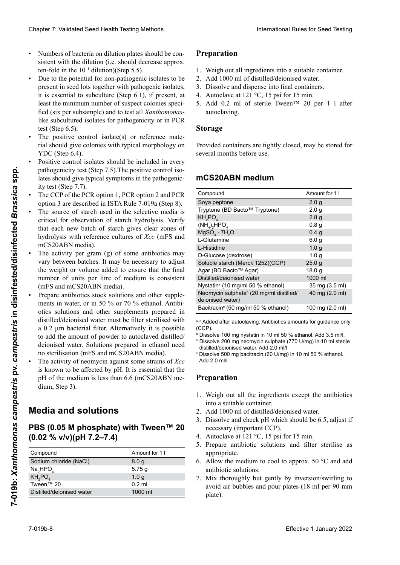- Numbers of bacteria on dilution plates should be consistent with the dilution (i.e. should decrease approx. ten-fold in the  $10^{-1}$  dilution)(Step 5.5).
- Due to the potential for non-pathogenic isolates to be present in seed lots together with pathogenic isolates, present in seed lots together with pathogenic isolates, it is essential to subculture (Step 6.1), if present, at least the minimum number of suspect colonies specified (six per subsample) and to test all *Xanthomonas*like subcultured isolates for pathogenicity or in PCR test (Step 6.5).
- The positive control isolate(s) or reference material should give colonies with typical morphology on ciones preparadas el control de mantipeles ou para rapport au témoin y par rapport au témoin  $YDC$  (Step 6.4).
- Positive control isolates should be included in every pathogenicity test (Step 7.5). The positive control isolates should give typical symptoms in the pathogenicpatrogenieny test (step 1.3). The positive control iso pathogentity itst (step 7.5). The positive control isothermorfología típical symptoms in the pathogenicity test (Step 7.7).
- The CCP of the PCR option 1, PCR option 2 and PCR The CCF of the FCK option 1, FCK option 2 and FCK<br>option 3 are described in ISTA Rule 7-019a (Step 8). option s'are described in is la Kuie  $/$ -019a (step 6).
- ne source of starch used in the selective media is • The source of starch used in the selective media is critical for observation of starch hydrolysis. Verify that each new batch of starch gives clear zones of hydrolysis with reference cultures of *Xcc* (mFS and mCS20ABN media). mCS20ABN media). Fire CCF of the FCK option 1, FCK option 2 and FCK<br>option 3 are described in ISTA Rule 7-019a (Step 8).<br>The source of starch used in the selective media is<br>crittical for observation of starch hydrolysis. Verify • The source of starch used in the selective media is
- The activity per gram (g) of some antibiotics may vary between batches. It may be necessary to adjust the weight or volume added to ensure that the final number of units per litre of medium is consistent (mFS and mCS20ABN media). mCS20ABN media).<br>• The activity per gram (g) of some antibiotics may<br>vary between batches. It may be necessary to adjust the weight or volume added to ensure that the final<br>number of units per litre of medium is consistent<br>(mFS and mCS20ABN media).<br>Prepare antibiotics stock solutions and other supple-• The activity per gram (g) of some antibiotics may number of units per litre of medium is consistent
- Prepare antibiotics stock solutions and other supplements in water, or in 50 % or 70 % ethanol. Antibi-Prepare antibiotics stock solutions and other supple-<br>ments in water, or in 50 % or 70 % ethanol. Antibi-<br>otics solutions and other supplements prepared in distilled/deionised water must be filter sterilised with distilled/deionised water must be filter sterilised with<br>a 0.2 µm bacterial filter. Alternatively it is possible to add the amount of powder to autoclaved distilled/<br>deionised water. Solutions prepared in ethanol need deionised water. Solutions prepared in ethanol need no sterilisation (mFS and mCS20ABN media).
- The activity of neomycin against some strains of *Xcc* is known to be affected by pH. It is essential that the<br>pH of the medium is less than  $6.6$  (mCS20ABN me-<br>dium Step 3) pH of the medium is less than 6.6 (mCS20ABN medium, Step 3).  $\frac{1}{\sqrt{2}}$  $\begin{bmatrix} 1 \end{bmatrix}$  $\frac{1}{2}$

## **Media and solutions** puede variar entre lotes. Puede ser necesario ajustar el

#### pe so de Montagado para a Filippe de la cantidad de la cantidad de la cantidad de la cantidad de la cantidad d  $\frac{1}{20}$  (0.00 m proopriate) with tween sea  $(0.02 % v/v)(pH 7.2-7.4)$ **DDC (6 GE M** phoephoto) with Twoon IM 20. PBS (0.05 M phosphate) with Tween™ 20<br>(0.05 <sup>o</sup> / ) / **HITS T** 4)

| Compound                         | Amount for 1 I   |
|----------------------------------|------------------|
| Sodium chloride (NaCl)           | 8.0 <sub>q</sub> |
| Na <sub>2</sub> HPO <sub>4</sub> | 5.75g            |
| KH <sub>2</sub> PO <sub>4</sub>  | 1.0 <sub>q</sub> |
| Tween™ 20                        | $0.2$ ml         |
| Distilled/deionised water        | 1000 ml          |
|                                  |                  |

# en etanol no necesitan esterilización esterilización en el personal esterilización en el personal esterilización<br>Preparation 3 sind in der islamica de la personal esterilización a la personal esterilización de la personal Préparations de stock d'antibiotique et autres suppléments dans de l'éthanol à 50 ou de l'éthanol à 50 ou de l<br>Situé de l'éthanol à 50 ou de l'éthanol à 50 ou de l'éthanol à 50 ou de l'éthanol à 50 ou de l'éthanol à 50 ou

- 1. Weigh out all ingredients into a suitable container.
- 2. Add 1000 ml of distilled/deionised water.
- Dissolve and dispense into final containers. 4. Add 1000 ml of distilled/deionised water.<br>
3. Dissolve and dispense into final containers.<br>
4. Autoclave at 121 °C. 15 psi for 15 min. 3. Dissolve and dispense into final containers.
- 4. Autoclave at 121 °C, 15 psi for 15 min.
- duovid v<sub>ing</sub>. 5. Add 0.2 ml of sterile Tween<sup>™</sup> 20 per 1 l after autoclaving. licher Hydrolysezonen überprüft wird. rilisation (milieux mFS et mCS20ABN).

#### $\frac{1}{2}$ • Die "aktiven Units" je Gramm Antibiotikum kön-**Storage** nen zwischen den Chargen variieren. Es ist daher variieren. Es ist daher variieren. Es ist daher variieren. Es<br>Es ist daher variieren. Es ist daher variieren en die een variieren. Es ist daher variieren en die een variier L'activité de la néomycine vis-à-vis de certaines souches de *Xcc* est connue pour être affectée par le pH.

#### mCS20ABN medium KH<sup>2</sup> PO4 1,0 g  $m$ CC20 ARN modium derer Zusätze in Wasser, 50 oder 70-prozentigem Et-**Milieux et solutions mCS20ABN medium**

|                                     | Chapter 7: Validated Seed Health Testing Methods                                         |                                                                                                                                                                                                                                                                                                                                                                                                                                                                                                                                                                                                                                                                                                                                                                           |                                                                                                                                                                                                                                                                                                                                                                                                                                      |                   |
|-------------------------------------|------------------------------------------------------------------------------------------|---------------------------------------------------------------------------------------------------------------------------------------------------------------------------------------------------------------------------------------------------------------------------------------------------------------------------------------------------------------------------------------------------------------------------------------------------------------------------------------------------------------------------------------------------------------------------------------------------------------------------------------------------------------------------------------------------------------------------------------------------------------------------|--------------------------------------------------------------------------------------------------------------------------------------------------------------------------------------------------------------------------------------------------------------------------------------------------------------------------------------------------------------------------------------------------------------------------------------|-------------------|
| $\bullet$<br>$\bullet$<br>$\bullet$ | ten-fold in the $10^{-1}$ dilution)(Step 5.5).<br>test (Step $6.5$ ).<br>YDC (Step 6.4). | Numbers of bacteria on dilution plates should be con-<br>sistent with the dilution (i.e. should decrease approx.<br>Due to the potential for non-pathogenic isolates to be<br>present in seed lots together with pathogenic isolates,<br>it is essential to subculture (Step $6.1$ ), if present, at<br>least the minimum number of suspect colonies speci-<br>fied (six per subsample) and to test all Xanthomonas-<br>like subcultured isolates for pathogenicity or in PCR<br>The positive control isolate(s) or reference mate-<br>rial should give colonies with typical morphology on<br>Positive control isolates should be included in every<br>pathogenicity test (Step 7.5). The positive control iso-<br>lates should give typical symptoms in the pathogenic- | Preparation<br>1. Weigh out all ingredients into a suitable container.<br>2. Add 1000 ml of distilled/deionised water.<br>3. Dissolve and dispense into final containers.<br>4. Autoclave at 121 $\degree$ C, 15 psi for 15 min.<br>5. Add 0.2 ml of sterile Tween™ 20 per 1 1 after<br>autoclaving.<br><b>Storage</b><br>Provided containers are tightly closed, may be stored for<br>several months before use.<br>mCS20ABN medium |                   |
|                                     | ity test (Step 7.7).                                                                     |                                                                                                                                                                                                                                                                                                                                                                                                                                                                                                                                                                                                                                                                                                                                                                           | Compound                                                                                                                                                                                                                                                                                                                                                                                                                             | Amount for 1 I    |
|                                     |                                                                                          | The CCP of the PCR option 1, PCR option 2 and PCR<br>option 3 are described in ISTA Rule 7-019a (Step 8).                                                                                                                                                                                                                                                                                                                                                                                                                                                                                                                                                                                                                                                                 | Soya peptone                                                                                                                                                                                                                                                                                                                                                                                                                         | 2.0 <sub>g</sub>  |
|                                     |                                                                                          |                                                                                                                                                                                                                                                                                                                                                                                                                                                                                                                                                                                                                                                                                                                                                                           | Tryptone (BD Bacto™ Tryptone)                                                                                                                                                                                                                                                                                                                                                                                                        | 2.0 <sub>g</sub>  |
|                                     |                                                                                          | The source of starch used in the selective media is                                                                                                                                                                                                                                                                                                                                                                                                                                                                                                                                                                                                                                                                                                                       | KH <sub>2</sub> PO <sub>4</sub>                                                                                                                                                                                                                                                                                                                                                                                                      | 2.8 <sub>g</sub>  |
|                                     |                                                                                          | critical for observation of starch hydrolysis. Verify                                                                                                                                                                                                                                                                                                                                                                                                                                                                                                                                                                                                                                                                                                                     | $(NH_4)_2HPO_4$                                                                                                                                                                                                                                                                                                                                                                                                                      | 0.8 <sub>g</sub>  |
|                                     |                                                                                          | that each new batch of starch gives clear zones of                                                                                                                                                                                                                                                                                                                                                                                                                                                                                                                                                                                                                                                                                                                        | $MgSO4 \cdot 7H2O$                                                                                                                                                                                                                                                                                                                                                                                                                   | 0.4 <sub>g</sub>  |
|                                     |                                                                                          | hydrolysis with reference cultures of Xcc (mFS and                                                                                                                                                                                                                                                                                                                                                                                                                                                                                                                                                                                                                                                                                                                        | L-Glutamine                                                                                                                                                                                                                                                                                                                                                                                                                          | 6.0 <sub>g</sub>  |
|                                     | mCS20ABN media).                                                                         |                                                                                                                                                                                                                                                                                                                                                                                                                                                                                                                                                                                                                                                                                                                                                                           | L-Histidine                                                                                                                                                                                                                                                                                                                                                                                                                          | 1.0 <sub>g</sub>  |
|                                     |                                                                                          | The activity per gram (g) of some antibiotics may                                                                                                                                                                                                                                                                                                                                                                                                                                                                                                                                                                                                                                                                                                                         | D-Glucose (dextrose)                                                                                                                                                                                                                                                                                                                                                                                                                 | 1.0 <sub>g</sub>  |
|                                     |                                                                                          | vary between batches. It may be necessary to adjust                                                                                                                                                                                                                                                                                                                                                                                                                                                                                                                                                                                                                                                                                                                       |                                                                                                                                                                                                                                                                                                                                                                                                                                      |                   |
|                                     |                                                                                          | the weight or volume added to ensure that the final                                                                                                                                                                                                                                                                                                                                                                                                                                                                                                                                                                                                                                                                                                                       | Soluble starch (Merck 1252)(CCP)                                                                                                                                                                                                                                                                                                                                                                                                     | 25.0 <sub>g</sub> |
|                                     |                                                                                          |                                                                                                                                                                                                                                                                                                                                                                                                                                                                                                                                                                                                                                                                                                                                                                           | Agar (BD Bacto™ Agar)                                                                                                                                                                                                                                                                                                                                                                                                                | 18.0 <sub>g</sub> |
|                                     |                                                                                          | number of units per litre of medium is consistent                                                                                                                                                                                                                                                                                                                                                                                                                                                                                                                                                                                                                                                                                                                         | Distilled/deionised water                                                                                                                                                                                                                                                                                                                                                                                                            | 1000 ml           |
|                                     | (mFS and mCS20ABN media).                                                                |                                                                                                                                                                                                                                                                                                                                                                                                                                                                                                                                                                                                                                                                                                                                                                           | Nystatin <sup>ª</sup> (10 mg/ml 50 % ethanol)                                                                                                                                                                                                                                                                                                                                                                                        | 35 mg (3.5 ml)    |
|                                     |                                                                                          | Prepare antibiotics stock solutions and other supple-                                                                                                                                                                                                                                                                                                                                                                                                                                                                                                                                                                                                                                                                                                                     | Neomycin sulphate <sup>b</sup> (20 mg/ml distilled/                                                                                                                                                                                                                                                                                                                                                                                  | 40 mg (2.0 ml)    |
|                                     |                                                                                          | ments in water, or in 50 % or 70 % ethanol. Antibi-                                                                                                                                                                                                                                                                                                                                                                                                                                                                                                                                                                                                                                                                                                                       | deionised water)                                                                                                                                                                                                                                                                                                                                                                                                                     |                   |
|                                     |                                                                                          | otics solutions and other supplements prepared in                                                                                                                                                                                                                                                                                                                                                                                                                                                                                                                                                                                                                                                                                                                         | Bacitracin <sup>c</sup> (50 mg/ml 50 % ethanol)                                                                                                                                                                                                                                                                                                                                                                                      | 100 mg (2.0 ml)   |
|                                     |                                                                                          | distilled/deionised water must be filter sterilised with                                                                                                                                                                                                                                                                                                                                                                                                                                                                                                                                                                                                                                                                                                                  |                                                                                                                                                                                                                                                                                                                                                                                                                                      |                   |
|                                     |                                                                                          |                                                                                                                                                                                                                                                                                                                                                                                                                                                                                                                                                                                                                                                                                                                                                                           | a-c Added after autoclaving. Antibiotics amounts for guidance only                                                                                                                                                                                                                                                                                                                                                                   |                   |
|                                     |                                                                                          | a 0.2 µm bacterial filter. Alternatively it is possible                                                                                                                                                                                                                                                                                                                                                                                                                                                                                                                                                                                                                                                                                                                   | $(CCP)$ .<br><sup>a</sup> Dissolve 100 mg nystatin in 10 ml 50 % ethanol. Add 3.5 ml/l.                                                                                                                                                                                                                                                                                                                                              |                   |
|                                     |                                                                                          | to add the amount of powder to autoclaved distilled/                                                                                                                                                                                                                                                                                                                                                                                                                                                                                                                                                                                                                                                                                                                      | <sup>b</sup> Dissolve 200 mg neomycin sulphate (770 U/mg) in 10 ml sterile                                                                                                                                                                                                                                                                                                                                                           |                   |
|                                     |                                                                                          | deionised water. Solutions prepared in ethanol need                                                                                                                                                                                                                                                                                                                                                                                                                                                                                                                                                                                                                                                                                                                       | distilled/deionised water. Add 2.0 ml/l                                                                                                                                                                                                                                                                                                                                                                                              |                   |
|                                     | no sterilisation (mFS and mCS20ABN media).                                               |                                                                                                                                                                                                                                                                                                                                                                                                                                                                                                                                                                                                                                                                                                                                                                           | ° Dissolve 500 mg bacitracin, (60 U/mg) in 10 ml 50 % ethanol.                                                                                                                                                                                                                                                                                                                                                                       |                   |
|                                     |                                                                                          | The activity of neomycin against some strains of Xcc                                                                                                                                                                                                                                                                                                                                                                                                                                                                                                                                                                                                                                                                                                                      | Add 2.0 ml/l.                                                                                                                                                                                                                                                                                                                                                                                                                        |                   |
|                                     |                                                                                          | is known to be affected by pH. It is essential that the                                                                                                                                                                                                                                                                                                                                                                                                                                                                                                                                                                                                                                                                                                                   |                                                                                                                                                                                                                                                                                                                                                                                                                                      |                   |
|                                     |                                                                                          | pH of the medium is less than 6.6 (mCS20ABN me-                                                                                                                                                                                                                                                                                                                                                                                                                                                                                                                                                                                                                                                                                                                           | Preparation                                                                                                                                                                                                                                                                                                                                                                                                                          |                   |
|                                     |                                                                                          |                                                                                                                                                                                                                                                                                                                                                                                                                                                                                                                                                                                                                                                                                                                                                                           |                                                                                                                                                                                                                                                                                                                                                                                                                                      |                   |
|                                     | dium, Step 3).                                                                           |                                                                                                                                                                                                                                                                                                                                                                                                                                                                                                                                                                                                                                                                                                                                                                           |                                                                                                                                                                                                                                                                                                                                                                                                                                      |                   |
|                                     |                                                                                          |                                                                                                                                                                                                                                                                                                                                                                                                                                                                                                                                                                                                                                                                                                                                                                           | 1. Weigh out all the ingredients except the antibiotics                                                                                                                                                                                                                                                                                                                                                                              |                   |
|                                     |                                                                                          |                                                                                                                                                                                                                                                                                                                                                                                                                                                                                                                                                                                                                                                                                                                                                                           | into a suitable container.                                                                                                                                                                                                                                                                                                                                                                                                           |                   |
|                                     | <b>Media and solutions</b>                                                               |                                                                                                                                                                                                                                                                                                                                                                                                                                                                                                                                                                                                                                                                                                                                                                           | 2. Add 1000 ml of distilled/deionised water.                                                                                                                                                                                                                                                                                                                                                                                         |                   |
|                                     |                                                                                          |                                                                                                                                                                                                                                                                                                                                                                                                                                                                                                                                                                                                                                                                                                                                                                           | 3. Dissolve and check pH which should be 6.5, adjust if                                                                                                                                                                                                                                                                                                                                                                              |                   |
|                                     |                                                                                          | PBS (0.05 M phosphate) with Tween™ 20                                                                                                                                                                                                                                                                                                                                                                                                                                                                                                                                                                                                                                                                                                                                     | necessary (important CCP).                                                                                                                                                                                                                                                                                                                                                                                                           |                   |
|                                     |                                                                                          |                                                                                                                                                                                                                                                                                                                                                                                                                                                                                                                                                                                                                                                                                                                                                                           | 4. Autoclave at 121 °C, 15 psi for 15 min.                                                                                                                                                                                                                                                                                                                                                                                           |                   |
|                                     | (0.02 % v/v)(pH 7.2–7.4)                                                                 |                                                                                                                                                                                                                                                                                                                                                                                                                                                                                                                                                                                                                                                                                                                                                                           |                                                                                                                                                                                                                                                                                                                                                                                                                                      |                   |
|                                     |                                                                                          |                                                                                                                                                                                                                                                                                                                                                                                                                                                                                                                                                                                                                                                                                                                                                                           | 5. Prepare antibiotic solutions and filter sterilise as                                                                                                                                                                                                                                                                                                                                                                              |                   |
|                                     | Compound                                                                                 | Amount for 1 I                                                                                                                                                                                                                                                                                                                                                                                                                                                                                                                                                                                                                                                                                                                                                            | appropriate.                                                                                                                                                                                                                                                                                                                                                                                                                         |                   |
|                                     | Sodium chloride (NaCl)                                                                   | 8.0 <sub>g</sub>                                                                                                                                                                                                                                                                                                                                                                                                                                                                                                                                                                                                                                                                                                                                                          | 6. Allow the medium to cool to approx. $50^{\circ}$ C and add                                                                                                                                                                                                                                                                                                                                                                        |                   |
|                                     |                                                                                          | 5.75g                                                                                                                                                                                                                                                                                                                                                                                                                                                                                                                                                                                                                                                                                                                                                                     | antibiotic solutions.                                                                                                                                                                                                                                                                                                                                                                                                                |                   |
|                                     | Na <sub>2</sub> HPO <sub>4</sub>                                                         |                                                                                                                                                                                                                                                                                                                                                                                                                                                                                                                                                                                                                                                                                                                                                                           |                                                                                                                                                                                                                                                                                                                                                                                                                                      |                   |
|                                     |                                                                                          | 1.0 <sub>g</sub>                                                                                                                                                                                                                                                                                                                                                                                                                                                                                                                                                                                                                                                                                                                                                          |                                                                                                                                                                                                                                                                                                                                                                                                                                      |                   |
|                                     | KH <sub>2</sub> PO <sub>4</sub><br>Tween™ 20                                             | $0.2$ ml                                                                                                                                                                                                                                                                                                                                                                                                                                                                                                                                                                                                                                                                                                                                                                  | 7. Mix thoroughly but gently by inversion/swirling to                                                                                                                                                                                                                                                                                                                                                                                |                   |
|                                     | Distilled/deionised water                                                                | 1000 ml                                                                                                                                                                                                                                                                                                                                                                                                                                                                                                                                                                                                                                                                                                                                                                   | avoid air bubbles and pour plates (18 ml per 90 mm<br>plate).                                                                                                                                                                                                                                                                                                                                                                        |                   |

# **Preparation**

- 1. Weigh out all the ingredients except the antibiotics into a suitable container.
- 2. Add 1000 ml of distilled/deionised water.
- Behälter. 3. Dissolve and check pH which should be 6.5, adjust if necessary (important CCP).
- 4. Autoclave at  $121 \degree C$ ,  $15 \text{ psi}$  for  $15 \text{ min}$ .
- $\overline{z}$ . Autoclave at 121 °C, 19 psi för 19 mm. 5. Prepare antibiotic solutions and filter sterilise as  $\epsilon$  appropriate. appropriate.
- 6. Allow the medium to cool to approx. 50  $\degree$ C and add antibiotic solutions.
- 7. Mix thoroughly but gently by inversion/swirling to avoid air bubbles and pour plates (18 ml per 90 mm plate).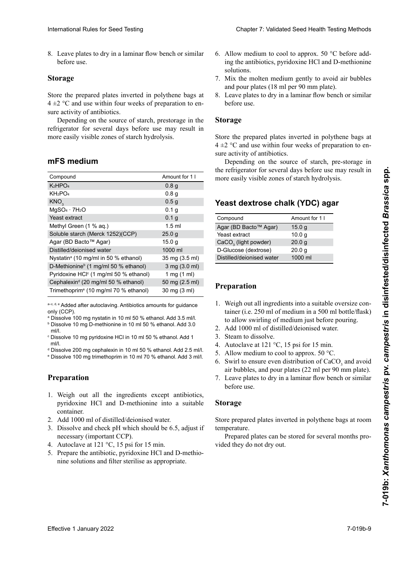#### **Storage** Tryptona (BD Bacto™ Tryptone) 2,0 g möglich. Tryptone 2,0 g

#### nistana amin'ny fivondronan-kaominin'i Amerika ao amin'ny faritr'i North Communication amin'ny faritr'i North <br>Ny INSEE dia mampiasa ny kaodim-paositra 2008–2014. Ilay kaominina dia kaominina mpikambana amin'ny faritr'i N mFS medium  $\overline{\phantom{a}}$

| International Rules for Seed Testing                                                                                                                                                                                                                                                                                                                                                                                                                                                                                                                                                   |                                      |                                                                                                                                                                                                   | <b>Chapter 7: Validated Seed Health Testing Methods</b>                                                                                                                                                                                                                                                                                                                                                                                                                                  |
|----------------------------------------------------------------------------------------------------------------------------------------------------------------------------------------------------------------------------------------------------------------------------------------------------------------------------------------------------------------------------------------------------------------------------------------------------------------------------------------------------------------------------------------------------------------------------------------|--------------------------------------|---------------------------------------------------------------------------------------------------------------------------------------------------------------------------------------------------|------------------------------------------------------------------------------------------------------------------------------------------------------------------------------------------------------------------------------------------------------------------------------------------------------------------------------------------------------------------------------------------------------------------------------------------------------------------------------------------|
| 8. Leave plates to dry in a laminar flow bench or similar<br>before use.<br><b>Storage</b><br>Store the prepared plates inverted in polythene bags at<br>$4 \pm 2$ °C and use within four weeks of preparation to en-<br>sure activity of antibiotics.<br>Depending on the source of starch, prestorage in the<br>refrigerator for several days before use may result in<br>more easily visible zones of starch hydrolysis.<br>mFS medium<br>Compound<br>K <sub>2</sub> HPO <sub>4</sub>                                                                                               | Amount for 1 I<br>0.8 <sub>g</sub>   | solutions.<br>and pour plates (18 ml per 90 mm plate).<br>before use.<br><b>Storage</b><br>sure activity of antibiotics.<br>more easily visible zones of starch hydrolysis.                       | 6. Allow medium to cool to approx. $50^{\circ}$ C before add-<br>ing the antibiotics, pyridoxine HCl and D-methionine<br>7. Mix the molten medium gently to avoid air bubbles<br>8. Leave plates to dry in a laminar flow bench or similar<br>Store the prepared plates inverted in polythene bags at<br>$4 \pm 2$ °C and use within four weeks of preparation to en-<br>Depending on the source of starch, pre-storage in<br>the refrigerator for several days before use may result in |
| KH <sub>2</sub> PO <sub>4</sub>                                                                                                                                                                                                                                                                                                                                                                                                                                                                                                                                                        | 0.8 <sub>g</sub>                     |                                                                                                                                                                                                   |                                                                                                                                                                                                                                                                                                                                                                                                                                                                                          |
| KNO <sub>3</sub>                                                                                                                                                                                                                                                                                                                                                                                                                                                                                                                                                                       | 0.5 <sub>g</sub>                     | Yeast dextrose chalk (YDC) agar                                                                                                                                                                   |                                                                                                                                                                                                                                                                                                                                                                                                                                                                                          |
| $MgSO4 \cdot 7H2O$                                                                                                                                                                                                                                                                                                                                                                                                                                                                                                                                                                     | 0.1 <sub>g</sub>                     |                                                                                                                                                                                                   |                                                                                                                                                                                                                                                                                                                                                                                                                                                                                          |
| Yeast extract<br>Methyl Green (1 % aq.)                                                                                                                                                                                                                                                                                                                                                                                                                                                                                                                                                | 0.1 <sub>g</sub><br>$1.5 \text{ ml}$ | Compound                                                                                                                                                                                          | Amount for 1 I                                                                                                                                                                                                                                                                                                                                                                                                                                                                           |
| Soluble starch (Merck 1252)(CCP)                                                                                                                                                                                                                                                                                                                                                                                                                                                                                                                                                       | 25.0 <sub>g</sub>                    | Agar (BD Bacto™ Agar)<br>Yeast extract                                                                                                                                                            | 15.0 <sub>g</sub><br>10.0 <sub>g</sub>                                                                                                                                                                                                                                                                                                                                                                                                                                                   |
| Agar (BD Bacto™ Agar)                                                                                                                                                                                                                                                                                                                                                                                                                                                                                                                                                                  | 15.0 <sub>g</sub>                    | $CaCO3$ (light powder)                                                                                                                                                                            | 20.0 <sub>g</sub>                                                                                                                                                                                                                                                                                                                                                                                                                                                                        |
| Distilled/deionised water                                                                                                                                                                                                                                                                                                                                                                                                                                                                                                                                                              | 1000 ml                              | D-Glucose (dextrose)                                                                                                                                                                              | 20.0 <sub>g</sub>                                                                                                                                                                                                                                                                                                                                                                                                                                                                        |
| Nystatin <sup>ª</sup> (10 mg/ml in 50 % ethanol)                                                                                                                                                                                                                                                                                                                                                                                                                                                                                                                                       | 35 mg (3.5 ml)                       | Distilled/deionised water                                                                                                                                                                         | 1000 ml                                                                                                                                                                                                                                                                                                                                                                                                                                                                                  |
| D-Methionine <sup>b</sup> (1 mg/ml 50 % ethanol)                                                                                                                                                                                                                                                                                                                                                                                                                                                                                                                                       | 3 mg (3.0 ml)                        |                                                                                                                                                                                                   |                                                                                                                                                                                                                                                                                                                                                                                                                                                                                          |
| Pyridoxine HCl <sup>c</sup> (1 mg/ml 50 % ethanol)                                                                                                                                                                                                                                                                                                                                                                                                                                                                                                                                     | 1 mg $(1 \text{ ml})$                |                                                                                                                                                                                                   |                                                                                                                                                                                                                                                                                                                                                                                                                                                                                          |
| Cephalexin <sup>d</sup> (20 mg/ml 50 % ethanol)<br>Trimethoprim <sup>e</sup> (10 mg/ml 70 % ethanol)                                                                                                                                                                                                                                                                                                                                                                                                                                                                                   | 50 mg (2.5 ml)<br>30 mg (3 ml)       | Preparation                                                                                                                                                                                       |                                                                                                                                                                                                                                                                                                                                                                                                                                                                                          |
| a-c, d, e Added after autoclaving. Antibiotics amounts for guidance<br>only (CCP).<br><sup>a</sup> Dissolve 100 mg nystatin in 10 ml 50 % ethanol. Add 3.5 ml/l.<br><sup>b</sup> Dissolve 10 mg D-methionine in 10 ml 50 % ethanol. Add 3.0<br>ml/l.<br><sup>c</sup> Dissolve 10 mg pyridoxine HCI in 10 ml 50 % ethanol. Add 1<br>ml/l.<br><sup>d</sup> Dissolve 200 mg cephalexin in 10 ml 50 % ethanol. Add 2.5 ml/l.<br><sup>e</sup> Dissolve 100 mg trimethoprim in 10 ml 70 % ethanol. Add 3 ml/l.<br><b>Preparation</b><br>1. Weigh out all the ingredients except antibiotics, |                                      | 2. Add 1000 ml of distilled/deionised water.<br>3. Steam to dissolve.<br>4. Autoclave at 121 $\degree$ C, 15 psi for 15 min.<br>5. Allow medium to cool to approx. $50^{\circ}$ C.<br>before use. | 1. Weigh out all ingredients into a suitable oversize con-<br>tainer (i.e. 250 ml of medium in a 500 ml bottle/flask)<br>to allow swirling of medium just before pouring.<br>6. Swirl to ensure even distribution of $CaCO3$ and avoid<br>air bubbles, and pour plates (22 ml per 90 mm plate).<br>7. Leave plates to dry in a laminar flow bench or similar                                                                                                                             |
| pyridoxine HCl and D-methionine into a suitable<br>container.                                                                                                                                                                                                                                                                                                                                                                                                                                                                                                                          |                                      | <b>Storage</b>                                                                                                                                                                                    |                                                                                                                                                                                                                                                                                                                                                                                                                                                                                          |
| 2. Add 1000 ml of distilled/deionised water.<br>3. Dissolve and check pH which should be 6.5, adjust if<br>necessary (important CCP).<br>4. Autoclave at 121 $\degree$ C, 15 psi for 15 min.<br>5. Prepare the antibiotic, pyridoxine HCl and D-methio-<br>nine solutions and filter sterilise as appropriate.                                                                                                                                                                                                                                                                         |                                      | temperature.<br>vided they do not dry out.                                                                                                                                                        | Store prepared plates inverted in polythene bags at room<br>Prepared plates can be stored for several months pro-                                                                                                                                                                                                                                                                                                                                                                        |
| Effective 1 January 2022                                                                                                                                                                                                                                                                                                                                                                                                                                                                                                                                                               |                                      |                                                                                                                                                                                                   | 7-019b-9                                                                                                                                                                                                                                                                                                                                                                                                                                                                                 |

- $^{\circ}$  Dissolve 10 mg D-methionine in 10 ml 50 % ethanol. Add 3.0 ml/l ml/l.
- ັບ......<br>∘ Dissolve 10 mg pyridoxine HCl in 10 ml 50 % ethanol. Add 1  $\eta$ . einen geeigneten Behälter. Die stellt die Behälter eine Stellt die Behälter. Die Behälter eine Behälter. Die B<br>Behälter. Behälter. Die Behälter. Die Behälter. Die Behälter. Die Behälter. Die Behälter. Die Behälter. Die Be  $\mathbf{r}$ . ml/l.
- <sup>d</sup> Dissolve 200 mg cephalexin in 10 ml 50 % ethanol. Add 2.5 ml/l.
- <sup>d</sup> Dissolve 200 mg cephalexin in 10 ml 50 % ethanol. Add 2.5 ml/l.<br>º Dissolve 100 mg trimethoprim in 10 ml 70 % ethanol. Add 3 ml/l.<br>' e Dissolve 100 mg trimethoprim in 10 ml 70 % ethanol. Add 3 ml/l.

### **Preparation**  $\mathbf{1}$  $P$ renaration pour éviter les bulles d'air et remplir les boïtes (18 ml pour une boîtes (18 ml pour une boîtes<br>De la pour une boîtes (18 ml pour une boîtes (18 ml pour une boîtes (18 ml pour une boîtes (18 ml pour une boît

- 1. Weigh out all the ingredients except antibiotics, pyridoxine HCl and D-methionine into a suitable ential des Medicines auf 50 der und Zugabe der Schlasse
- eontainer.<br>**2.** Add 1000 ml of distilled/deionised water.
- $\mu$ . Dissolve and check preparation should be 0.9, adjust in 2. Thus 1000 fm of distinct deformed water.<br>2. Disselse and the deal of soldier desetlike C.C. aliest if 3. Dissolve and check pH which should be 6.5, adjust if Stocker les bonnes dans des sacs en plastique à 4 ±2 °C) et utiliser dans un déclaire dans un déclaire dans un déclaire de 4 separées de 4 semaines de 4 separées de 4 semaines de 4 separées de 4 separées de 4 separées de 4
- hecessary (important CCT).<br>4. Autoclave at 121 °C, 15 psi for 15 min.
- $\frac{1}{2}$ . Autoclave at 121 °C, 19 psi foi 19 film. *s*. riepare nine solutions and filter sterilise as appropriate.  $\frac{8}{5}$ . Autoclave at 121 °C, 19 psi for 19 mm. riepare die antibiotie, pyridoxine ric  $\alpha$  and pour garantier pour garantier les antibiotiques. 5. Prepare the antibiotic, pyridoxine HCl and D-methio-
- 6. Allow medium to cool to approx. 50 °C before addsolutions. ing the antibiotics, pyridoxine HCl and D-methionine
- 7. Mix the molten medium gently to avoid air bubbles and pour plates (18 ml per 90 mm plate).
- 8. Leave plates to dry in a laminar flow bench or similar before use.  $\Omega$  0,1  $\Omega$  0,1  $\Omega$  0,1  $\Omega$  0,1  $\Omega$  0,1  $\Omega$  0,1  $\Omega$  0,1  $\Omega$  0,1  $\Omega$  0,1  $\Omega$  0,1  $\Omega$  0,1  $\Omega$  0,1  $\Omega$  0,1  $\Omega$  0,1  $\Omega$  0,1  $\Omega$  0,1  $\Omega$  0,1  $\Omega$  0,1  $\Omega$  0,1  $\Omega$  0,1  $\Omega$  0,1  $\Omega$  0,1  $\Omega$  0,1  $\Omega$  0,1  $\Omega$   $\mathcal{S} \Theta$

#### **Storage**  $\Theta$  $\mathcal{A}$

#### a-c, d, e Agregar después de autoclavar. Las cantidades de Yeast dextrose chaik (YDC) agar  $\mathcal{L}$   $\mathcal{L}$   $\mathcal{L}$   $\mathcal{L}$   $\mathcal{L}$   $\mathcal{L}$   $\mathcal{L}$   $\mathcal{L}$   $\mathcal{L}$   $\mathcal{L}$   $\mathcal{L}$   $\mathcal{L}$   $\mathcal{L}$   $\mathcal{L}$   $\mathcal{L}$   $\mathcal{L}$   $\mathcal{L}$   $\mathcal{L}$   $\mathcal{L}$   $\mathcal{L}$   $\mathcal{L}$   $\mathcal{L}$   $\mathcal{L}$   $\mathcal{L}$   $\mathcal{$ ibast dextib<del>se</del> Gilain (TDO) agai a–c, d, e Ajouté après autoclavage. Quantités à titre indicatif Yeast dextrose chalk (YDC) agar

|                           | Amount for 1 I    |
|---------------------------|-------------------|
| Compound                  |                   |
| Agar (BD Bacto™ Agar)     | 15.0 g            |
| Yeast extract             | 10.0 <sub>q</sub> |
| $CaCO3$ (light powder)    | 20.0 g            |
| D-Glucose (dextrose)      | 20.0 <sub>q</sub> |
| Distilled/deionised water | 1000 ml           |
|                           |                   |

# Preparation

- to allow swithing of including last before pouring.<br>2. Add 1000 ml of distilled/deionised water.
- 3. Steam to dissolve.
- 4. Autoclave at 121 °C, 15 psi for 15 min.
- 5. Allow medium to cool to approx. 50 °C.
- 6. Swirl to ensure even distribution of CaCO<sub>3</sub> and avoid air bubbles, and pour plates (22 ml per 90 mm plate).
- 7. Leave plates to dry in a laminar flow bench or similar before use.

#### **Storage.**  $\frac{1}{2}$  $\frac{1}{2}$